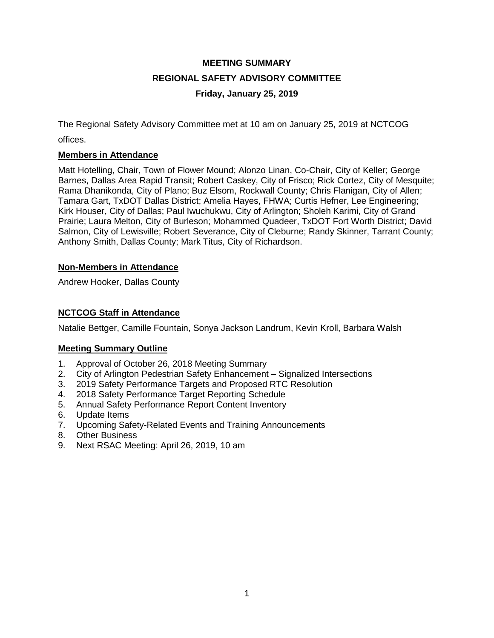# **MEETING SUMMARY REGIONAL SAFETY ADVISORY COMMITTEE Friday, January 25, 2019**

The Regional Safety Advisory Committee met at 10 am on January 25, 2019 at NCTCOG offices.

## **Members in Attendance**

Matt Hotelling, Chair, Town of Flower Mound; Alonzo Linan, Co-Chair, City of Keller; George Barnes, Dallas Area Rapid Transit; Robert Caskey, City of Frisco; Rick Cortez, City of Mesquite; Rama Dhanikonda, City of Plano; Buz Elsom, Rockwall County; Chris Flanigan, City of Allen; Tamara Gart, TxDOT Dallas District; Amelia Hayes, FHWA; Curtis Hefner, Lee Engineering; Kirk Houser, City of Dallas; Paul Iwuchukwu, City of Arlington; Sholeh Karimi, City of Grand Prairie; Laura Melton, City of Burleson; Mohammed Quadeer, TxDOT Fort Worth District; David Salmon, City of Lewisville; Robert Severance, City of Cleburne; Randy Skinner, Tarrant County; Anthony Smith, Dallas County; Mark Titus, City of Richardson.

#### **Non-Members in Attendance**

Andrew Hooker, Dallas County

## **NCTCOG Staff in Attendance**

Natalie Bettger, Camille Fountain, Sonya Jackson Landrum, Kevin Kroll, Barbara Walsh

# **Meeting Summary Outline**

- 1. Approval of October 26, 2018 Meeting Summary
- 2. City of Arlington Pedestrian Safety Enhancement Signalized Intersections
- 3. 2019 Safety Performance Targets and Proposed RTC Resolution
- 4. 2018 Safety Performance Target Reporting Schedule
- 5. Annual Safety Performance Report Content Inventory
- 6. Update Items
- 7. Upcoming Safety-Related Events and Training Announcements
- 8. Other Business
- 9. Next RSAC Meeting: April 26, 2019, 10 am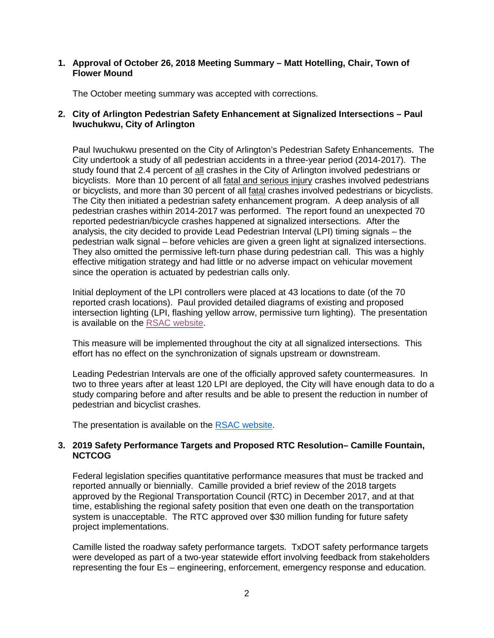#### **1. Approval of October 26, 2018 Meeting Summary – Matt Hotelling, Chair, Town of Flower Mound**

The October meeting summary was accepted with corrections.

## **2. City of Arlington Pedestrian Safety Enhancement at Signalized Intersections – Paul Iwuchukwu, City of Arlington**

Paul Iwuchukwu presented on the City of Arlington's Pedestrian Safety Enhancements. The City undertook a study of all pedestrian accidents in a three-year period (2014-2017). The study found that 2.4 percent of all crashes in the City of Arlington involved pedestrians or bicyclists. More than 10 percent of all fatal and serious injury crashes involved pedestrians or bicyclists, and more than 30 percent of all fatal crashes involved pedestrians or bicyclists. The City then initiated a pedestrian safety enhancement program. A deep analysis of all pedestrian crashes within 2014-2017 was performed. The report found an unexpected 70 reported pedestrian/bicycle crashes happened at signalized intersections. After the analysis, the city decided to provide Lead Pedestrian Interval (LPI) timing signals – the pedestrian walk signal – before vehicles are given a green light at signalized intersections. They also omitted the permissive left-turn phase during pedestrian call. This was a highly effective mitigation strategy and had little or no adverse impact on vehicular movement since the operation is actuated by pedestrian calls only.

Initial deployment of the LPI controllers were placed at 43 locations to date (of the 70 reported crash locations). Paul provided detailed diagrams of existing and proposed intersection lighting (LPI, flashing yellow arrow, permissive turn lighting). The presentation is available on the [RSAC website.](https://www.nctcog.org/trans/about/committees/regional-safety-advisory-committee)

This measure will be implemented throughout the city at all signalized intersections. This effort has no effect on the synchronization of signals upstream or downstream.

Leading Pedestrian Intervals are one of the officially approved safety countermeasures. In two to three years after at least 120 LPI are deployed, the City will have enough data to do a study comparing before and after results and be able to present the reduction in number of pedestrian and bicyclist crashes.

The presentation is available on the [RSAC website.](https://www.nctcog.org/trans/about/committees/regional-safety-advisory-committee)

#### **3. 2019 Safety Performance Targets and Proposed RTC Resolution– Camille Fountain, NCTCOG**

Federal legislation specifies quantitative performance measures that must be tracked and reported annually or biennially. Camille provided a brief review of the 2018 targets approved by the Regional Transportation Council (RTC) in December 2017, and at that time, establishing the regional safety position that even one death on the transportation system is unacceptable. The RTC approved over \$30 million funding for future safety project implementations.

Camille listed the roadway safety performance targets. TxDOT safety performance targets were developed as part of a two-year statewide effort involving feedback from stakeholders representing the four Es – engineering, enforcement, emergency response and education.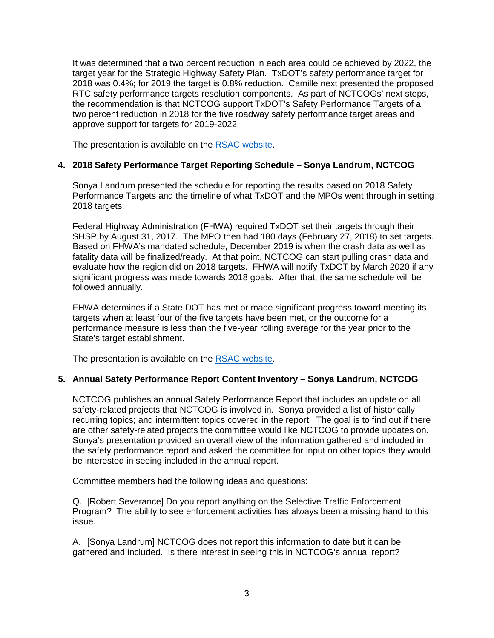It was determined that a two percent reduction in each area could be achieved by 2022, the target year for the Strategic Highway Safety Plan. TxDOT's safety performance target for 2018 was 0.4%; for 2019 the target is 0.8% reduction. Camille next presented the proposed RTC safety performance targets resolution components. As part of NCTCOGs' next steps, the recommendation is that NCTCOG support TxDOT's Safety Performance Targets of a two percent reduction in 2018 for the five roadway safety performance target areas and approve support for targets for 2019-2022.

The presentation is available on the [RSAC website.](https://www.nctcog.org/trans/about/committees/regional-safety-advisory-committee)

#### **4. 2018 Safety Performance Target Reporting Schedule – Sonya Landrum, NCTCOG**

Sonya Landrum presented the schedule for reporting the results based on 2018 Safety Performance Targets and the timeline of what TxDOT and the MPOs went through in setting 2018 targets.

Federal Highway Administration (FHWA) required TxDOT set their targets through their SHSP by August 31, 2017. The MPO then had 180 days (February 27, 2018) to set targets. Based on FHWA's mandated schedule, December 2019 is when the crash data as well as fatality data will be finalized/ready. At that point, NCTCOG can start pulling crash data and evaluate how the region did on 2018 targets. FHWA will notify TxDOT by March 2020 if any significant progress was made towards 2018 goals. After that, the same schedule will be followed annually.

FHWA determines if a State DOT has met or made significant progress toward meeting its targets when at least four of the five targets have been met, or the outcome for a performance measure is less than the five-year rolling average for the year prior to the State's target establishment.

The presentation is available on the [RSAC website.](https://www.nctcog.org/trans/about/committees/regional-safety-advisory-committee)

#### **5. Annual Safety Performance Report Content Inventory – Sonya Landrum, NCTCOG**

NCTCOG publishes an annual Safety Performance Report that includes an update on all safety-related projects that NCTCOG is involved in. Sonya provided a list of historically recurring topics; and intermittent topics covered in the report. The goal is to find out if there are other safety-related projects the committee would like NCTCOG to provide updates on. Sonya's presentation provided an overall view of the information gathered and included in the safety performance report and asked the committee for input on other topics they would be interested in seeing included in the annual report.

Committee members had the following ideas and questions:

Q. [Robert Severance] Do you report anything on the Selective Traffic Enforcement Program? The ability to see enforcement activities has always been a missing hand to this issue.

A. [Sonya Landrum] NCTCOG does not report this information to date but it can be gathered and included. Is there interest in seeing this in NCTCOG's annual report?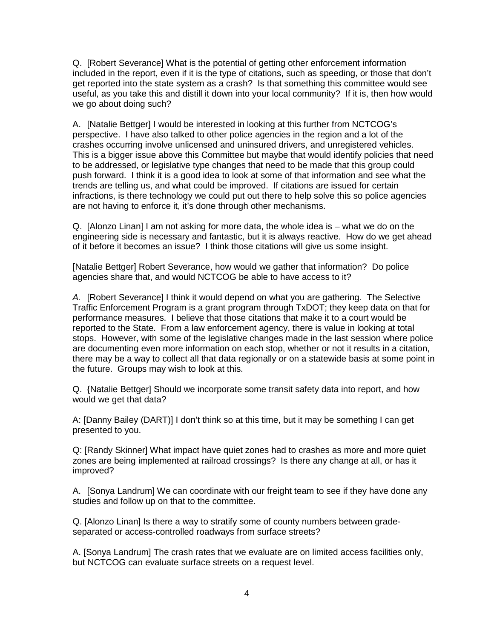Q. [Robert Severance] What is the potential of getting other enforcement information included in the report, even if it is the type of citations, such as speeding, or those that don't get reported into the state system as a crash? Is that something this committee would see useful, as you take this and distill it down into your local community? If it is, then how would we go about doing such?

A. [Natalie Bettger] I would be interested in looking at this further from NCTCOG's perspective. I have also talked to other police agencies in the region and a lot of the crashes occurring involve unlicensed and uninsured drivers, and unregistered vehicles. This is a bigger issue above this Committee but maybe that would identify policies that need to be addressed, or legislative type changes that need to be made that this group could push forward. I think it is a good idea to look at some of that information and see what the trends are telling us, and what could be improved. If citations are issued for certain infractions, is there technology we could put out there to help solve this so police agencies are not having to enforce it, it's done through other mechanisms.

Q. [Alonzo Linan] I am not asking for more data, the whole idea is – what we do on the engineering side is necessary and fantastic, but it is always reactive. How do we get ahead of it before it becomes an issue? I think those citations will give us some insight.

[Natalie Bettger] Robert Severance, how would we gather that information? Do police agencies share that, and would NCTCOG be able to have access to it?

*A.* [Robert Severance] I think it would depend on what you are gathering. The Selective Traffic Enforcement Program is a grant program through TxDOT; they keep data on that for performance measures. I believe that those citations that make it to a court would be reported to the State. From a law enforcement agency, there is value in looking at total stops. However, with some of the legislative changes made in the last session where police are documenting even more information on each stop, whether or not it results in a citation, there may be a way to collect all that data regionally or on a statewide basis at some point in the future. Groups may wish to look at this.

Q. {Natalie Bettger] Should we incorporate some transit safety data into report, and how would we get that data?

A: [Danny Bailey (DART)] I don't think so at this time, but it may be something I can get presented to you.

Q: [Randy Skinner] What impact have quiet zones had to crashes as more and more quiet zones are being implemented at railroad crossings? Is there any change at all, or has it improved?

A. [Sonya Landrum] We can coordinate with our freight team to see if they have done any studies and follow up on that to the committee.

Q. [Alonzo Linan] Is there a way to stratify some of county numbers between gradeseparated or access-controlled roadways from surface streets?

A. [Sonya Landrum] The crash rates that we evaluate are on limited access facilities only, but NCTCOG can evaluate surface streets on a request level.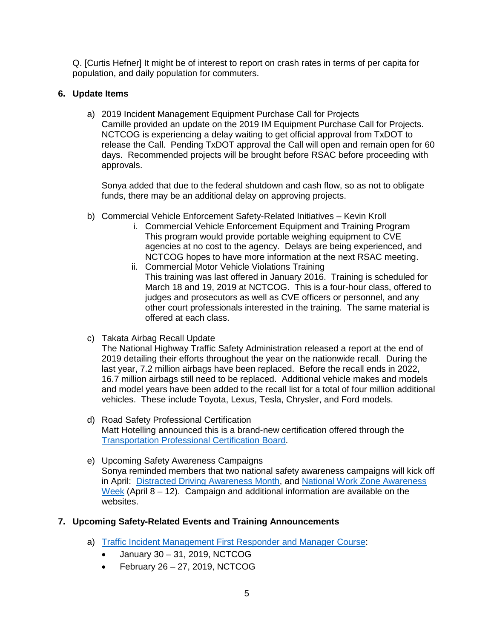Q. [Curtis Hefner] It might be of interest to report on crash rates in terms of per capita for population, and daily population for commuters.

## **6. Update Items**

a) 2019 Incident Management Equipment Purchase Call for Projects Camille provided an update on the 2019 IM Equipment Purchase Call for Projects. NCTCOG is experiencing a delay waiting to get official approval from TxDOT to release the Call. Pending TxDOT approval the Call will open and remain open for 60 days. Recommended projects will be brought before RSAC before proceeding with approvals.

Sonya added that due to the federal shutdown and cash flow, so as not to obligate funds, there may be an additional delay on approving projects.

- b) Commercial Vehicle Enforcement Safety-Related Initiatives Kevin Kroll
	- i. Commercial Vehicle Enforcement Equipment and Training Program This program would provide portable weighing equipment to CVE agencies at no cost to the agency. Delays are being experienced, and NCTCOG hopes to have more information at the next RSAC meeting.
	- ii. Commercial Motor Vehicle Violations Training This training was last offered in January 2016. Training is scheduled for March 18 and 19, 2019 at NCTCOG. This is a four-hour class, offered to judges and prosecutors as well as CVE officers or personnel, and any other court professionals interested in the training. The same material is offered at each class.
- c) Takata Airbag Recall Update

The National Highway Traffic Safety Administration released a report at the end of 2019 detailing their efforts throughout the year on the nationwide recall. During the last year, 7.2 million airbags have been replaced. Before the recall ends in 2022, 16.7 million airbags still need to be replaced. Additional vehicle makes and models and model years have been added to the recall list for a total of four million additional vehicles. These include Toyota, Lexus, Tesla, Chrysler, and Ford models.

- d) Road Safety Professional Certification Matt Hotelling announced this is a brand-new certification offered through the [Transportation Professional Certification](http://www.tpcb.org/rsp/default.asp) Board.
- e) Upcoming Safety Awareness Campaigns Sonya reminded members that two national safety awareness campaigns will kick off in April: [Distracted Driving Awareness Month,](https://www.nsc.org/road-safety/get-involved/distracted-driving-awareness-month) and [National Work Zone Awareness](http://www.nwzaw.org/)  [Week](http://www.nwzaw.org/) (April  $8 - 12$ ). Campaign and additional information are available on the websites.

# **7. Upcoming Safety-Related Events and Training Announcements**

- a) [Traffic Incident Management First Responder and Manager Course:](http://csrtc.nctcog.org/cvsfdropfull.aspx?coursegroup=1246)
	- January 30 31, 2019, NCTCOG
	- $\bullet$  February 26 27, 2019, NCTCOG